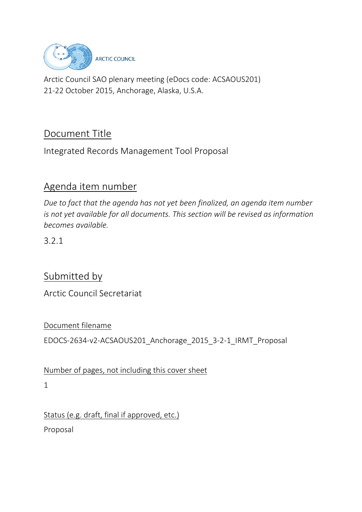

Arctic Council SAO plenary meeting (eDocs code: ACSAOUS201) 21-22 October 2015, Anchorage, Alaska, U.S.A.

# Document Title

Integrated Records Management Tool Proposal

# Agenda item number

*Due to fact that the agenda has not yet been finalized, an agenda item number is not yet available for all documents. This section will be revised as information becomes available.* 

3.2.1

# Submitted by

Arctic Council Secretariat

### Document filename

EDOCS-2634-v2-ACSAOUS201\_Anchorage\_2015\_3-2-1\_IRMT\_Proposal

Number of pages, not including this cover sheet

1

Status (e.g. draft, final if approved, etc.)

Proposal